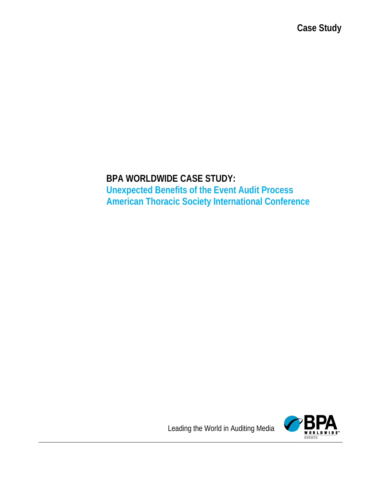**Case Study**

# **BPA WORLDWIDE CASE STUDY: Unexpected Benefits of the Event Audit Process American Thoracic Society International Conference**



Leading the World in Auditing Media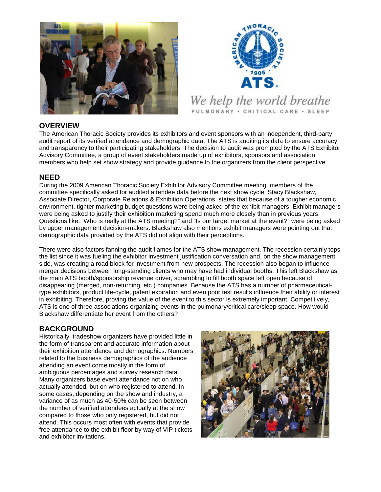



## **OVERVIEW**

The American Thoracic Society provides its exhibitors and event sponsors with an independent, third-party audit report of its verified attendance and demographic data. The ATS is auditing its data to ensure accuracy and transparency to their participating stakeholders. The decision to audit was prompted by the ATS Exhibitor Advisory Committee, a group of event stakeholders made up of exhibitors, sponsors and association members who help set show strategy and provide guidance to the organizers from the client perspective.

#### **NEED**

During the 2009 American Thoracic Society Exhibitor Advisory Committee meeting, members of the committee specifically asked for audited attendee data before the next show cycle. Stacy Blackshaw, Associate Director, Corporate Relations & Exhibition Operations, states that because of a tougher economic environment, tighter marketing budget questions were being asked of the exhibit managers. Exhibit managers were being asked to justify their exhibition marketing spend much more closely than in previous years. Questions like, "Who is really at the ATS meeting?" and "Is our target market at the event?" were being asked by upper management decision-makers. Blackshaw also mentions exhibit managers were pointing out that demographic data provided by the ATS did not align with their perceptions.

There were also factors fanning the audit flames for the ATS show management. The recession certainly tops the list since it was fueling the exhibitor investment justification conversation and, on the show management side, was creating a road block for investment from new prospects. The recession also began to influence merger decisions between long-standing clients who may have had individual booths. This left Blackshaw as the main ATS booth/sponsorship revenue driver, scrambling to fill booth space left open because of disappearing (merged, non-returning, etc.) companies. Because the ATS has a number of pharmaceuticaltype exhibitors, product life-cycle, patent expiration and even poor test results influence their ability or interest in exhibiting. Therefore, proving the value of the event to this sector is extremely important. Competitively, ATS is one of three associations organizing events in the pulmonary/critical care/sleep space. How would Blackshaw differentiate her event from the others?

## **BACKGROUND**

Historically, tradeshow organizers have provided little in the form of transparent and accurate information about their exhibition attendance and demographics. Numbers related to the business demographics of the audience attending an event come mostly in the form of ambiguous percentages and survey research data. Many organizers base event attendance not on who actually attended, but on who registered to attend. In some cases, depending on the show and industry, a variance of as much as 40-50% can be seen between the number of verified attendees actually at the show compared to those who only registered, but did not attend. This occurs most often with events that provide free attendance to the exhibit floor by way of VIP tickets and exhibitor invitations.

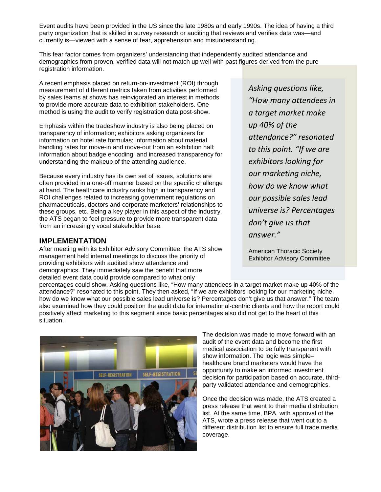Event audits have been provided in the US since the late 1980s and early 1990s. The idea of having a third party organization that is skilled in survey research or auditing that reviews and verifies data was—and currently is—viewed with a sense of fear, apprehension and misunderstanding.

This fear factor comes from organizers' understanding that independently audited attendance and demographics from proven, verified data will not match up well with past figures derived from the pure registration information.

A recent emphasis placed on return-on-investment (ROI) through measurement of different metrics taken from activities performed by sales teams at shows has reinvigorated an interest in methods to provide more accurate data to exhibition stakeholders. One method is using the audit to verify registration data post-show.

Emphasis within the tradeshow industry is also being placed on transparency of information; exhibitors asking organizers for information on hotel rate formulas; information about material handling rates for move-in and move-out from an exhibition hall; information about badge encoding; and increased transparency for understanding the makeup of the attending audience.

Because every industry has its own set of issues, solutions are often provided in a one-off manner based on the specific challenge at hand. The healthcare industry ranks high in transparency and ROI challenges related to increasing government regulations on pharmaceuticals, doctors and corporate marketers' relationships to these groups, etc. Being a key player in this aspect of the industry, the ATS began to feel pressure to provide more transparent data from an increasingly vocal stakeholder base.

#### **IMPLEMENTATION**

After meeting with its Exhibitor Advisory Committee, the ATS show management held internal meetings to discuss the priority of providing exhibitors with audited show attendance and demographics. They immediately saw the benefit that more detailed event data could provide compared to what only

*Asking questions like, "How many attendees in a target market make up 40% of the attendance?" resonated to this point. "If we are exhibitors looking for our marketing niche, how do we know what our possible sales lead universe is? Percentages don't give us that answer."*

American Thoracic Society Exhibitor Advisory Committee

percentages could show. Asking questions like, "How many attendees in a target market make up 40% of the attendance?" resonated to this point. They then asked, "If we are exhibitors looking for our marketing niche, how do we know what our possible sales lead universe is? Percentages don't give us that answer." The team also examined how they could position the audit data for international-centric clients and how the report could positively affect marketing to this segment since basic percentages also did not get to the heart of this situation.



The decision was made to move forward with an audit of the event data and become the first medical association to be fully transparent with show information. The logic was simple– healthcare brand marketers would have the opportunity to make an informed investment decision for participation based on accurate, thirdparty validated attendance and demographics.

Once the decision was made, the ATS created a press release that went to their media distribution list. At the same time, BPA, with approval of the ATS, wrote a press release that went out to a different distribution list to ensure full trade media coverage.